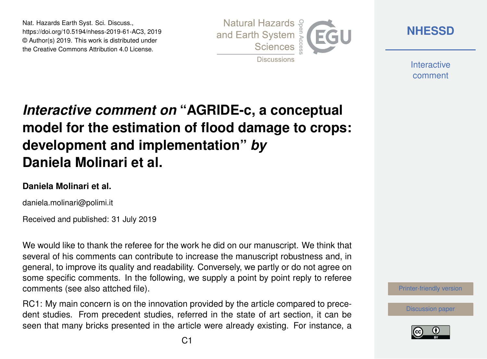Nat. Hazards Earth Syst. Sci. Discuss., https://doi.org/10.5194/nhess-2019-61-AC3, 2019 © Author(s) 2019. This work is distributed under the Creative Commons Attribution 4.0 License.



**[NHESSD](https://www.nat-hazards-earth-syst-sci-discuss.net/)**

**Interactive** comment

# *Interactive comment on* **"AGRIDE-c, a conceptual model for the estimation of flood damage to crops: development and implementation"** *by* **Daniela Molinari et al.**

#### **Daniela Molinari et al.**

daniela.molinari@polimi.it

Received and published: 31 July 2019

We would like to thank the referee for the work he did on our manuscript. We think that several of his comments can contribute to increase the manuscript robustness and, in general, to improve its quality and readability. Conversely, we partly or do not agree on some specific comments. In the following, we supply a point by point reply to referee comments (see also attched file).

RC1: My main concern is on the innovation provided by the article compared to precedent studies. From precedent studies, referred in the state of art section, it can be seen that many bricks presented in the article were already existing. For instance, a



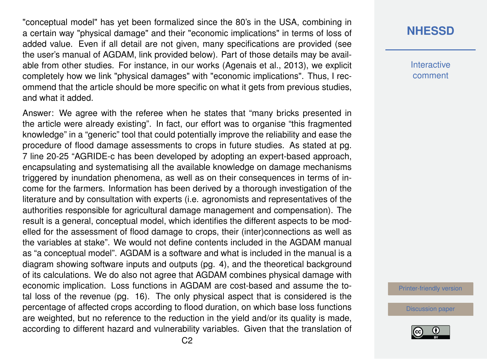"conceptual model" has yet been formalized since the 80's in the USA, combining in a certain way "physical damage" and their "economic implications" in terms of loss of added value. Even if all detail are not given, many specifications are provided (see the user's manual of AGDAM, link provided below). Part of those details may be available from other studies. For instance, in our works (Agenais et al., 2013), we explicit completely how we link "physical damages" with "economic implications". Thus, I recommend that the article should be more specific on what it gets from previous studies, and what it added.

Answer: We agree with the referee when he states that "many bricks presented in the article were already existing". In fact, our effort was to organise "this fragmented knowledge" in a "generic" tool that could potentially improve the reliability and ease the procedure of flood damage assessments to crops in future studies. As stated at pg. 7 line 20-25 "AGRIDE-c has been developed by adopting an expert-based approach, encapsulating and systematising all the available knowledge on damage mechanisms triggered by inundation phenomena, as well as on their consequences in terms of income for the farmers. Information has been derived by a thorough investigation of the literature and by consultation with experts (i.e. agronomists and representatives of the authorities responsible for agricultural damage management and compensation). The result is a general, conceptual model, which identifies the different aspects to be modelled for the assessment of flood damage to crops, their (inter)connections as well as the variables at stake". We would not define contents included in the AGDAM manual as "a conceptual model". AGDAM is a software and what is included in the manual is a diagram showing software inputs and outputs (pg. 4), and the theoretical background of its calculations. We do also not agree that AGDAM combines physical damage with economic implication. Loss functions in AGDAM are cost-based and assume the total loss of the revenue (pg. 16). The only physical aspect that is considered is the percentage of affected crops according to flood duration, on which base loss functions are weighted, but no reference to the reduction in the yield and/or its quality is made, according to different hazard and vulnerability variables. Given that the translation of

#### **[NHESSD](https://www.nat-hazards-earth-syst-sci-discuss.net/)**

**Interactive** comment

[Printer-friendly version](https://www.nat-hazards-earth-syst-sci-discuss.net/nhess-2019-61/nhess-2019-61-AC3-print.pdf)

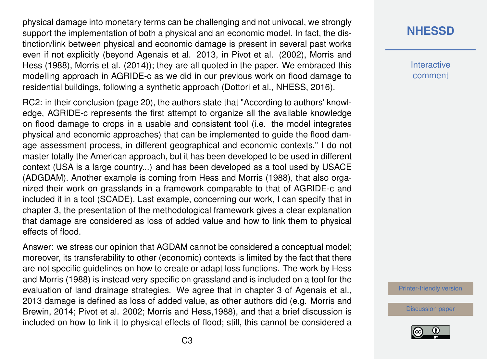physical damage into monetary terms can be challenging and not univocal, we strongly support the implementation of both a physical and an economic model. In fact, the distinction/link between physical and economic damage is present in several past works even if not explicitly (beyond Agenais et al. 2013, in Pivot et al. (2002), Morris and Hess (1988), Morris et al. (2014)); they are all quoted in the paper. We embraced this modelling approach in AGRIDE-c as we did in our previous work on flood damage to residential buildings, following a synthetic approach (Dottori et al., NHESS, 2016).

RC2: in their conclusion (page 20), the authors state that "According to authors' knowledge, AGRIDE-c represents the first attempt to organize all the available knowledge on flood damage to crops in a usable and consistent tool (i.e. the model integrates physical and economic approaches) that can be implemented to guide the flood damage assessment process, in different geographical and economic contexts." I do not master totally the American approach, but it has been developed to be used in different context (USA is a large country...) and has been developed as a tool used by USACE (ADGDAM). Another example is coming from Hess and Morris (1988), that also organized their work on grasslands in a framework comparable to that of AGRIDE-c and included it in a tool (SCADE). Last example, concerning our work, I can specify that in chapter 3, the presentation of the methodological framework gives a clear explanation that damage are considered as loss of added value and how to link them to physical effects of flood.

Answer: we stress our opinion that AGDAM cannot be considered a conceptual model; moreover, its transferability to other (economic) contexts is limited by the fact that there are not specific guidelines on how to create or adapt loss functions. The work by Hess and Morris (1988) is instead very specific on grassland and is included on a tool for the evaluation of land drainage strategies. We agree that in chapter 3 of Agenais et al., 2013 damage is defined as loss of added value, as other authors did (e.g. Morris and Brewin, 2014; Pivot et al. 2002; Morris and Hess,1988), and that a brief discussion is included on how to link it to physical effects of flood; still, this cannot be considered a

## **[NHESSD](https://www.nat-hazards-earth-syst-sci-discuss.net/)**

**Interactive** comment

[Printer-friendly version](https://www.nat-hazards-earth-syst-sci-discuss.net/nhess-2019-61/nhess-2019-61-AC3-print.pdf)

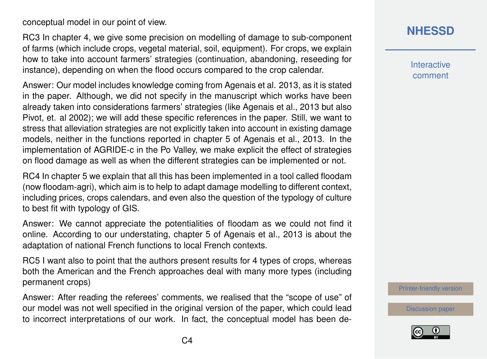conceptual model in our point of view.

RC3 In chapter 4, we give some precision on modelling of damage to sub-component of farms (which include crops, vegetal material, soil, equipment). For crops, we explain how to take into account farmers' strategies (continuation, abandoning, reseeding for instance), depending on when the flood occurs compared to the crop calendar.

Answer: Our model includes knowledge coming from Agenais et al. 2013, as it is stated in the paper. Although, we did not specify in the manuscript which works have been already taken into considerations farmers' strategies (like Agenais et al., 2013 but also Pivot, et. al 2002); we will add these specific references in the paper. Still, we want to stress that alleviation strategies are not explicitly taken into account in existing damage models, neither in the functions reported in chapter 5 of Agenais et al., 2013. In the implementation of AGRIDE-c in the Po Valley, we make explicit the effect of strategies on flood damage as well as when the different strategies can be implemented or not.

RC4 In chapter 5 we explain that all this has been implemented in a tool called floodam (now floodam-agri), which aim is to help to adapt damage modelling to different context, including prices, crops calendars, and even also the question of the typology of culture to best fit with typology of GIS.

Answer: We cannot appreciate the potentialities of floodam as we could not find it online. According to our understating, chapter 5 of Agenais et al., 2013 is about the adaptation of national French functions to local French contexts.

RC5 I want also to point that the authors present results for 4 types of crops, whereas both the American and the French approaches deal with many more types (including permanent crops)

Answer: After reading the referees' comments, we realised that the "scope of use" of our model was not well specified in the original version of the paper, which could lead to incorrect interpretations of our work. In fact, the conceptual model has been de-

## **[NHESSD](https://www.nat-hazards-earth-syst-sci-discuss.net/)**

**Interactive** comment

[Printer-friendly version](https://www.nat-hazards-earth-syst-sci-discuss.net/nhess-2019-61/nhess-2019-61-AC3-print.pdf)

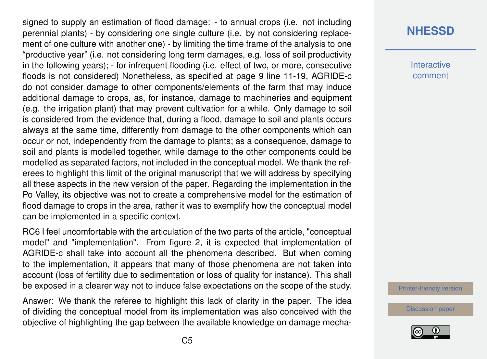signed to supply an estimation of flood damage: - to annual crops (i.e. not including perennial plants) - by considering one single culture (i.e. by not considering replacement of one culture with another one) - by limiting the time frame of the analysis to one "productive year" (i.e. not considering long term damages, e.g. loss of soil productivity in the following years); - for infrequent flooding (i.e. effect of two, or more, consecutive floods is not considered) Nonetheless, as specified at page 9 line 11-19, AGRIDE-c do not consider damage to other components/elements of the farm that may induce additional damage to crops, as, for instance, damage to machineries and equipment (e.g. the irrigation plant) that may prevent cultivation for a while. Only damage to soil is considered from the evidence that, during a flood, damage to soil and plants occurs always at the same time, differently from damage to the other components which can occur or not, independently from the damage to plants; as a consequence, damage to soil and plants is modelled together, while damage to the other components could be modelled as separated factors, not included in the conceptual model. We thank the referees to highlight this limit of the original manuscript that we will address by specifying all these aspects in the new version of the paper. Regarding the implementation in the Po Valley, its objective was not to create a comprehensive model for the estimation of flood damage to crops in the area, rather it was to exemplify how the conceptual model can be implemented in a specific context.

RC6 I feel uncomfortable with the articulation of the two parts of the article, "conceptual model" and "implementation". From figure 2, it is expected that implementation of AGRIDE-c shall take into account all the phenomena described. But when coming to the implementation, it appears that many of those phenomena are not taken into account (loss of fertility due to sedimentation or loss of quality for instance). This shall be exposed in a clearer way not to induce false expectations on the scope of the study.

Answer: We thank the referee to highlight this lack of clarity in the paper. The idea of dividing the conceptual model from its implementation was also conceived with the objective of highlighting the gap between the available knowledge on damage mecha-

#### **[NHESSD](https://www.nat-hazards-earth-syst-sci-discuss.net/)**

**Interactive** comment

[Printer-friendly version](https://www.nat-hazards-earth-syst-sci-discuss.net/nhess-2019-61/nhess-2019-61-AC3-print.pdf)

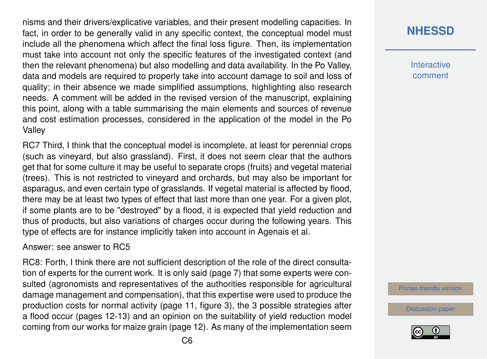nisms and their drivers/explicative variables, and their present modelling capacities. In fact, in order to be generally valid in any specific context, the conceptual model must include all the phenomena which affect the final loss figure. Then, its implementation must take into account not only the specific features of the investigated context (and then the relevant phenomena) but also modelling and data availability. In the Po Valley, data and models are required to properly take into account damage to soil and loss of quality; in their absence we made simplified assumptions, highlighting also research needs. A comment will be added in the revised version of the manuscript, explaining this point, along with a table summarising the main elements and sources of revenue and cost estimation processes, considered in the application of the model in the Po Valley

RC7 Third, I think that the conceptual model is incomplete, at least for perennial crops (such as vineyard, but also grassland). First, it does not seem clear that the authors get that for some culture it may be useful to separate crops (fruits) and vegetal material (trees). This is not restricted to vineyard and orchards, but may also be important for asparagus, and even certain type of grasslands. If vegetal material is affected by flood, there may be at least two types of effect that last more than one year. For a given plot, if some plants are to be "destroyed" by a flood, it is expected that yield reduction and thus of products, but also variations of charges occur during the following years. This type of effects are for instance implicitly taken into account in Agenais et al.

#### Answer: see answer to RC5

RC8: Forth, I think there are not sufficient description of the role of the direct consultation of experts for the current work. It is only said (page 7) that some experts were consulted (agronomists and representatives of the authorities responsible for agricultural damage management and compensation), that this expertise were used to produce the production costs for normal activity (page 11, figure 3), the 3 possible strategies after a flood occur (pages 12-13) and an opinion on the suitability of yield reduction model coming from our works for maize grain (page 12). As many of the implementation seem

#### **[NHESSD](https://www.nat-hazards-earth-syst-sci-discuss.net/)**

**Interactive** comment

[Printer-friendly version](https://www.nat-hazards-earth-syst-sci-discuss.net/nhess-2019-61/nhess-2019-61-AC3-print.pdf)

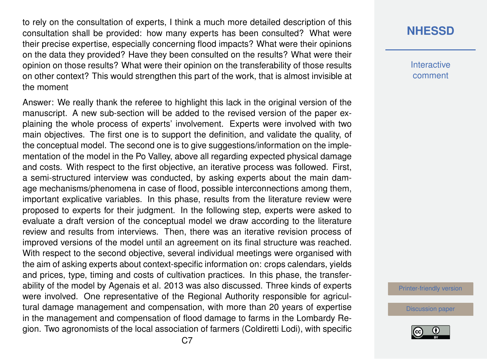to rely on the consultation of experts, I think a much more detailed description of this consultation shall be provided: how many experts has been consulted? What were their precise expertise, especially concerning flood impacts? What were their opinions on the data they provided? Have they been consulted on the results? What were their opinion on those results? What were their opinion on the transferability of those results on other context? This would strengthen this part of the work, that is almost invisible at the moment

Answer: We really thank the referee to highlight this lack in the original version of the manuscript. A new sub-section will be added to the revised version of the paper explaining the whole process of experts' involvement. Experts were involved with two main objectives. The first one is to support the definition, and validate the quality, of the conceptual model. The second one is to give suggestions/information on the implementation of the model in the Po Valley, above all regarding expected physical damage and costs. With respect to the first objective, an iterative process was followed. First, a semi-structured interview was conducted, by asking experts about the main damage mechanisms/phenomena in case of flood, possible interconnections among them, important explicative variables. In this phase, results from the literature review were proposed to experts for their judgment. In the following step, experts were asked to evaluate a draft version of the conceptual model we draw according to the literature review and results from interviews. Then, there was an iterative revision process of improved versions of the model until an agreement on its final structure was reached. With respect to the second objective, several individual meetings were organised with the aim of asking experts about context-specific information on: crops calendars, yields and prices, type, timing and costs of cultivation practices. In this phase, the transferability of the model by Agenais et al. 2013 was also discussed. Three kinds of experts were involved. One representative of the Regional Authority responsible for agricultural damage management and compensation, with more than 20 years of expertise in the management and compensation of flood damage to farms in the Lombardy Region. Two agronomists of the local association of farmers (Coldiretti Lodi), with specific

#### **[NHESSD](https://www.nat-hazards-earth-syst-sci-discuss.net/)**

**Interactive** comment

[Printer-friendly version](https://www.nat-hazards-earth-syst-sci-discuss.net/nhess-2019-61/nhess-2019-61-AC3-print.pdf)

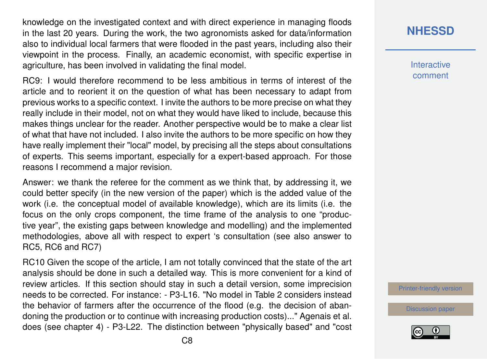knowledge on the investigated context and with direct experience in managing floods in the last 20 years. During the work, the two agronomists asked for data/information also to individual local farmers that were flooded in the past years, including also their viewpoint in the process. Finally, an academic economist, with specific expertise in agriculture, has been involved in validating the final model.

RC9: I would therefore recommend to be less ambitious in terms of interest of the article and to reorient it on the question of what has been necessary to adapt from previous works to a specific context. I invite the authors to be more precise on what they really include in their model, not on what they would have liked to include, because this makes things unclear for the reader. Another perspective would be to make a clear list of what that have not included. I also invite the authors to be more specific on how they have really implement their "local" model, by precising all the steps about consultations of experts. This seems important, especially for a expert-based approach. For those reasons I recommend a major revision.

Answer: we thank the referee for the comment as we think that, by addressing it, we could better specify (in the new version of the paper) which is the added value of the work (i.e. the conceptual model of available knowledge), which are its limits (i.e. the focus on the only crops component, the time frame of the analysis to one "productive year", the existing gaps between knowledge and modelling) and the implemented methodologies, above all with respect to expert 's consultation (see also answer to RC5, RC6 and RC7)

RC10 Given the scope of the article, I am not totally convinced that the state of the art analysis should be done in such a detailed way. This is more convenient for a kind of review articles. If this section should stay in such a detail version, some imprecision needs to be corrected. For instance: - P3-L16. "No model in Table 2 considers instead the behavior of farmers after the occurrence of the flood (e.g. the decision of abandoning the production or to continue with increasing production costs)..." Agenais et al. does (see chapter 4) - P3-L22. The distinction between "physically based" and "cost

#### **[NHESSD](https://www.nat-hazards-earth-syst-sci-discuss.net/)**

**Interactive** comment

[Printer-friendly version](https://www.nat-hazards-earth-syst-sci-discuss.net/nhess-2019-61/nhess-2019-61-AC3-print.pdf)

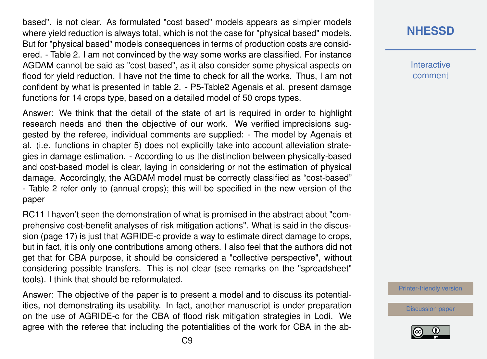based". is not clear. As formulated "cost based" models appears as simpler models where yield reduction is always total, which is not the case for "physical based" models. But for "physical based" models consequences in terms of production costs are considered. - Table 2. I am not convinced by the way some works are classified. For instance AGDAM cannot be said as "cost based", as it also consider some physical aspects on flood for yield reduction. I have not the time to check for all the works. Thus, I am not confident by what is presented in table 2. - P5-Table2 Agenais et al. present damage functions for 14 crops type, based on a detailed model of 50 crops types.

Answer: We think that the detail of the state of art is required in order to highlight research needs and then the objective of our work. We verified imprecisions suggested by the referee, individual comments are supplied: - The model by Agenais et al. (i.e. functions in chapter 5) does not explicitly take into account alleviation strategies in damage estimation. - According to us the distinction between physically-based and cost-based model is clear, laying in considering or not the estimation of physical damage. Accordingly, the AGDAM model must be correctly classified as "cost-based" - Table 2 refer only to (annual crops); this will be specified in the new version of the paper

RC11 I haven't seen the demonstration of what is promised in the abstract about "comprehensive cost-benefit analyses of risk mitigation actions". What is said in the discussion (page 17) is just that AGRIDE-c provide a way to estimate direct damage to crops, but in fact, it is only one contributions among others. I also feel that the authors did not get that for CBA purpose, it should be considered a "collective perspective", without considering possible transfers. This is not clear (see remarks on the "spreadsheet" tools). I think that should be reformulated.

Answer: The objective of the paper is to present a model and to discuss its potentialities, not demonstrating its usability. In fact, another manuscript is under preparation on the use of AGRIDE-c for the CBA of flood risk mitigation strategies in Lodi. We agree with the referee that including the potentialities of the work for CBA in the ab**[NHESSD](https://www.nat-hazards-earth-syst-sci-discuss.net/)**

**Interactive** comment

[Printer-friendly version](https://www.nat-hazards-earth-syst-sci-discuss.net/nhess-2019-61/nhess-2019-61-AC3-print.pdf)

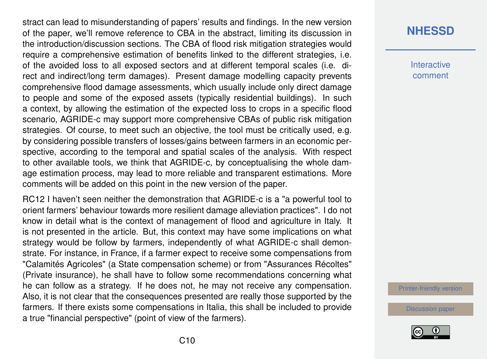stract can lead to misunderstanding of papers' results and findings. In the new version of the paper, we'll remove reference to CBA in the abstract, limiting its discussion in the introduction/discussion sections. The CBA of flood risk mitigation strategies would require a comprehensive estimation of benefits linked to the different strategies, i.e. of the avoided loss to all exposed sectors and at different temporal scales (i.e. direct and indirect/long term damages). Present damage modelling capacity prevents comprehensive flood damage assessments, which usually include only direct damage to people and some of the exposed assets (typically residential buildings). In such a context, by allowing the estimation of the expected loss to crops in a specific flood scenario, AGRIDE-c may support more comprehensive CBAs of public risk mitigation strategies. Of course, to meet such an objective, the tool must be critically used, e.g. by considering possible transfers of losses/gains between farmers in an economic perspective, according to the temporal and spatial scales of the analysis. With respect to other available tools, we think that AGRIDE-c, by conceptualising the whole damage estimation process, may lead to more reliable and transparent estimations. More comments will be added on this point in the new version of the paper.

RC12 I haven't seen neither the demonstration that AGRIDE-c is a "a powerful tool to orient farmers' behaviour towards more resilient damage alleviation practices". I do not know in detail what is the context of management of flood and agriculture in Italy. It is not presented in the article. But, this context may have some implications on what strategy would be follow by farmers, independently of what AGRIDE-c shall demonstrate. For instance, in France, if a farmer expect to receive some compensations from "Calamités Agricoles" (a State compensation scheme) or from "Assurances Récoltes" (Private insurance), he shall have to follow some recommendations concerning what he can follow as a strategy. If he does not, he may not receive any compensation. Also, it is not clear that the consequences presented are really those supported by the farmers. If there exists some compensations in Italia, this shall be included to provide a true "financial perspective" (point of view of the farmers).

#### **[NHESSD](https://www.nat-hazards-earth-syst-sci-discuss.net/)**

**Interactive** comment

[Printer-friendly version](https://www.nat-hazards-earth-syst-sci-discuss.net/nhess-2019-61/nhess-2019-61-AC3-print.pdf)

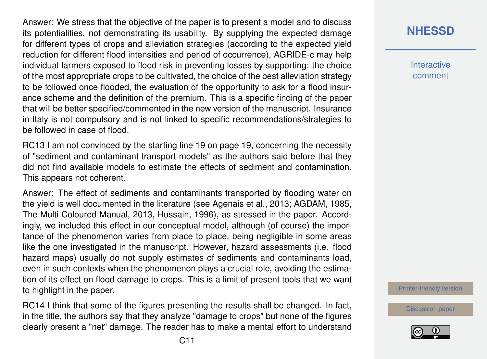Answer: We stress that the objective of the paper is to present a model and to discuss its potentialities, not demonstrating its usability. By supplying the expected damage for different types of crops and alleviation strategies (according to the expected yield reduction for different flood intensities and period of occurrence), AGRIDE-c may help individual farmers exposed to flood risk in preventing losses by supporting: the choice of the most appropriate crops to be cultivated, the choice of the best alleviation strategy to be followed once flooded, the evaluation of the opportunity to ask for a flood insurance scheme and the definition of the premium. This is a specific finding of the paper that will be better specified/commented in the new version of the manuscript. Insurance in Italy is not compulsory and is not linked to specific recommendations/strategies to be followed in case of flood.

RC13 I am not convinced by the starting line 19 on page 19, concerning the necessity of "sediment and contaminant transport models" as the authors said before that they did not find available models to estimate the effects of sediment and contamination. This appears not coherent.

Answer: The effect of sediments and contaminants transported by flooding water on the yield is well documented in the literature (see Agenais et al., 2013; AGDAM, 1985, The Multi Coloured Manual, 2013, Hussain, 1996), as stressed in the paper. Accordingly, we included this effect in our conceptual model, although (of course) the importance of the phenomenon varies from place to place, being negligible in some areas like the one investigated in the manuscript. However, hazard assessments (i.e. flood hazard maps) usually do not supply estimates of sediments and contaminants load, even in such contexts when the phenomenon plays a crucial role, avoiding the estimation of its effect on flood damage to crops. This is a limit of present tools that we want to highlight in the paper.

RC14 I think that some of the figures presenting the results shall be changed. In fact, in the title, the authors say that they analyze "damage to crops" but none of the figures clearly present a "net" damage. The reader has to make a mental effort to understand **[NHESSD](https://www.nat-hazards-earth-syst-sci-discuss.net/)**

**Interactive** comment

[Printer-friendly version](https://www.nat-hazards-earth-syst-sci-discuss.net/nhess-2019-61/nhess-2019-61-AC3-print.pdf)

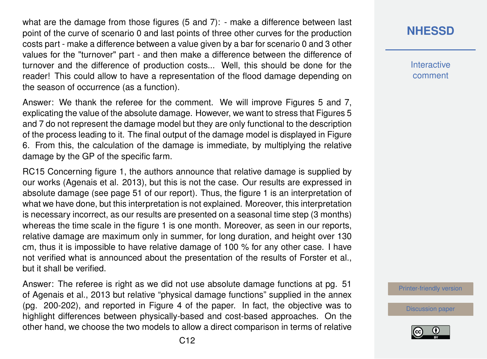what are the damage from those figures (5 and 7): - make a difference between last point of the curve of scenario 0 and last points of three other curves for the production costs part - make a difference between a value given by a bar for scenario 0 and 3 other values for the "turnover" part - and then make a difference between the difference of turnover and the difference of production costs... Well, this should be done for the reader! This could allow to have a representation of the flood damage depending on the season of occurrence (as a function).

Answer: We thank the referee for the comment. We will improve Figures 5 and 7, explicating the value of the absolute damage. However, we want to stress that Figures 5 and 7 do not represent the damage model but they are only functional to the description of the process leading to it. The final output of the damage model is displayed in Figure 6. From this, the calculation of the damage is immediate, by multiplying the relative damage by the GP of the specific farm.

RC15 Concerning figure 1, the authors announce that relative damage is supplied by our works (Agenais et al. 2013), but this is not the case. Our results are expressed in absolute damage (see page 51 of our report). Thus, the figure 1 is an interpretation of what we have done, but this interpretation is not explained. Moreover, this interpretation is necessary incorrect, as our results are presented on a seasonal time step (3 months) whereas the time scale in the figure 1 is one month. Moreover, as seen in our reports, relative damage are maximum only in summer, for long duration, and height over 130 cm, thus it is impossible to have relative damage of 100 % for any other case. I have not verified what is announced about the presentation of the results of Forster et al., but it shall be verified.

Answer: The referee is right as we did not use absolute damage functions at pg. 51 of Agenais et al., 2013 but relative "physical damage functions" supplied in the annex (pg. 200-202), and reported in Figure 4 of the paper. In fact, the objective was to highlight differences between physically-based and cost-based approaches. On the other hand, we choose the two models to allow a direct comparison in terms of relative **Interactive** comment

[Printer-friendly version](https://www.nat-hazards-earth-syst-sci-discuss.net/nhess-2019-61/nhess-2019-61-AC3-print.pdf)

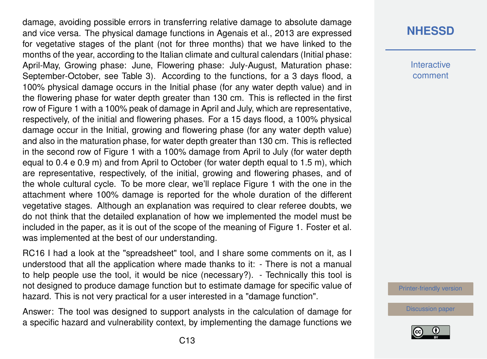damage, avoiding possible errors in transferring relative damage to absolute damage and vice versa. The physical damage functions in Agenais et al., 2013 are expressed for vegetative stages of the plant (not for three months) that we have linked to the months of the year, according to the Italian climate and cultural calendars (Initial phase: April-May, Growing phase: June, Flowering phase: July-August, Maturation phase: September-October, see Table 3). According to the functions, for a 3 days flood, a 100% physical damage occurs in the Initial phase (for any water depth value) and in the flowering phase for water depth greater than 130 cm. This is reflected in the first row of Figure 1 with a 100% peak of damage in April and July, which are representative, respectively, of the initial and flowering phases. For a 15 days flood, a 100% physical damage occur in the Initial, growing and flowering phase (for any water depth value) and also in the maturation phase, for water depth greater than 130 cm. This is reflected in the second row of Figure 1 with a 100% damage from April to July (for water depth equal to 0.4 e 0.9 m) and from April to October (for water depth equal to 1.5 m), which are representative, respectively, of the initial, growing and flowering phases, and of the whole cultural cycle. To be more clear, we'll replace Figure 1 with the one in the attachment where 100% damage is reported for the whole duration of the different vegetative stages. Although an explanation was required to clear referee doubts, we do not think that the detailed explanation of how we implemented the model must be included in the paper, as it is out of the scope of the meaning of Figure 1. Foster et al. was implemented at the best of our understanding.

RC16 I had a look at the "spreadsheet" tool, and I share some comments on it, as I understood that all the application where made thanks to it: - There is not a manual to help people use the tool, it would be nice (necessary?). - Technically this tool is not designed to produce damage function but to estimate damage for specific value of hazard. This is not very practical for a user interested in a "damage function".

Answer: The tool was designed to support analysts in the calculation of damage for a specific hazard and vulnerability context, by implementing the damage functions we

#### **[NHESSD](https://www.nat-hazards-earth-syst-sci-discuss.net/)**

**Interactive** comment

[Printer-friendly version](https://www.nat-hazards-earth-syst-sci-discuss.net/nhess-2019-61/nhess-2019-61-AC3-print.pdf)

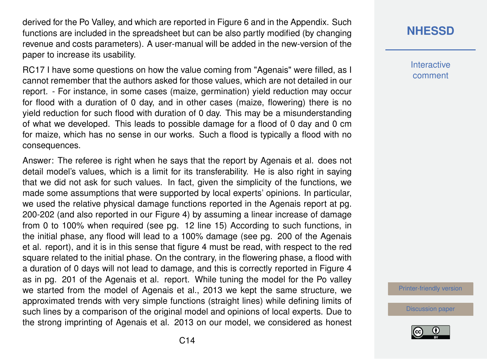derived for the Po Valley, and which are reported in Figure 6 and in the Appendix. Such functions are included in the spreadsheet but can be also partly modified (by changing revenue and costs parameters). A user-manual will be added in the new-version of the paper to increase its usability.

RC17 I have some questions on how the value coming from "Agenais" were filled, as I cannot remember that the authors asked for those values, which are not detailed in our report. - For instance, in some cases (maize, germination) yield reduction may occur for flood with a duration of 0 day, and in other cases (maize, flowering) there is no yield reduction for such flood with duration of 0 day. This may be a misunderstanding of what we developed. This leads to possible damage for a flood of 0 day and 0 cm for maize, which has no sense in our works. Such a flood is typically a flood with no consequences.

Answer: The referee is right when he says that the report by Agenais et al. does not detail model's values, which is a limit for its transferability. He is also right in saying that we did not ask for such values. In fact, given the simplicity of the functions, we made some assumptions that were supported by local experts' opinions. In particular, we used the relative physical damage functions reported in the Agenais report at pg. 200-202 (and also reported in our Figure 4) by assuming a linear increase of damage from 0 to 100% when required (see pg. 12 line 15) According to such functions, in the initial phase, any flood will lead to a 100% damage (see pg. 200 of the Agenais et al. report), and it is in this sense that figure 4 must be read, with respect to the red square related to the initial phase. On the contrary, in the flowering phase, a flood with a duration of 0 days will not lead to damage, and this is correctly reported in Figure 4 as in pg. 201 of the Agenais et al. report. While tuning the model for the Po valley we started from the model of Agenais et al., 2013 we kept the same structure, we approximated trends with very simple functions (straight lines) while defining limits of such lines by a comparison of the original model and opinions of local experts. Due to the strong imprinting of Agenais et al. 2013 on our model, we considered as honest

## **[NHESSD](https://www.nat-hazards-earth-syst-sci-discuss.net/)**

**Interactive** comment

[Printer-friendly version](https://www.nat-hazards-earth-syst-sci-discuss.net/nhess-2019-61/nhess-2019-61-AC3-print.pdf)

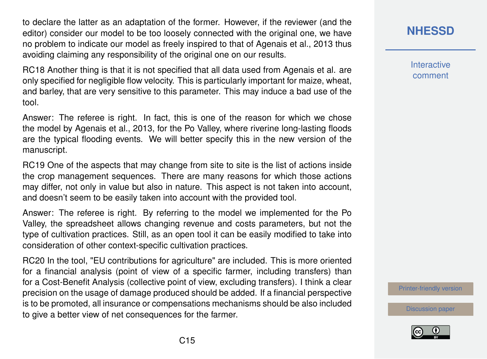to declare the latter as an adaptation of the former. However, if the reviewer (and the editor) consider our model to be too loosely connected with the original one, we have no problem to indicate our model as freely inspired to that of Agenais et al., 2013 thus avoiding claiming any responsibility of the original one on our results.

RC18 Another thing is that it is not specified that all data used from Agenais et al. are only specified for negligible flow velocity. This is particularly important for maize, wheat, and barley, that are very sensitive to this parameter. This may induce a bad use of the tool.

Answer: The referee is right. In fact, this is one of the reason for which we chose the model by Agenais et al., 2013, for the Po Valley, where riverine long-lasting floods are the typical flooding events. We will better specify this in the new version of the manuscript.

RC19 One of the aspects that may change from site to site is the list of actions inside the crop management sequences. There are many reasons for which those actions may differ, not only in value but also in nature. This aspect is not taken into account, and doesn't seem to be easily taken into account with the provided tool.

Answer: The referee is right. By referring to the model we implemented for the Po Valley, the spreadsheet allows changing revenue and costs parameters, but not the type of cultivation practices. Still, as an open tool it can be easily modified to take into consideration of other context-specific cultivation practices.

RC20 In the tool, "EU contributions for agriculture" are included. This is more oriented for a financial analysis (point of view of a specific farmer, including transfers) than for a Cost-Benefit Analysis (collective point of view, excluding transfers). I think a clear precision on the usage of damage produced should be added. If a financial perspective is to be promoted, all insurance or compensations mechanisms should be also included to give a better view of net consequences for the farmer.

#### **[NHESSD](https://www.nat-hazards-earth-syst-sci-discuss.net/)**

**Interactive** comment

[Printer-friendly version](https://www.nat-hazards-earth-syst-sci-discuss.net/nhess-2019-61/nhess-2019-61-AC3-print.pdf)